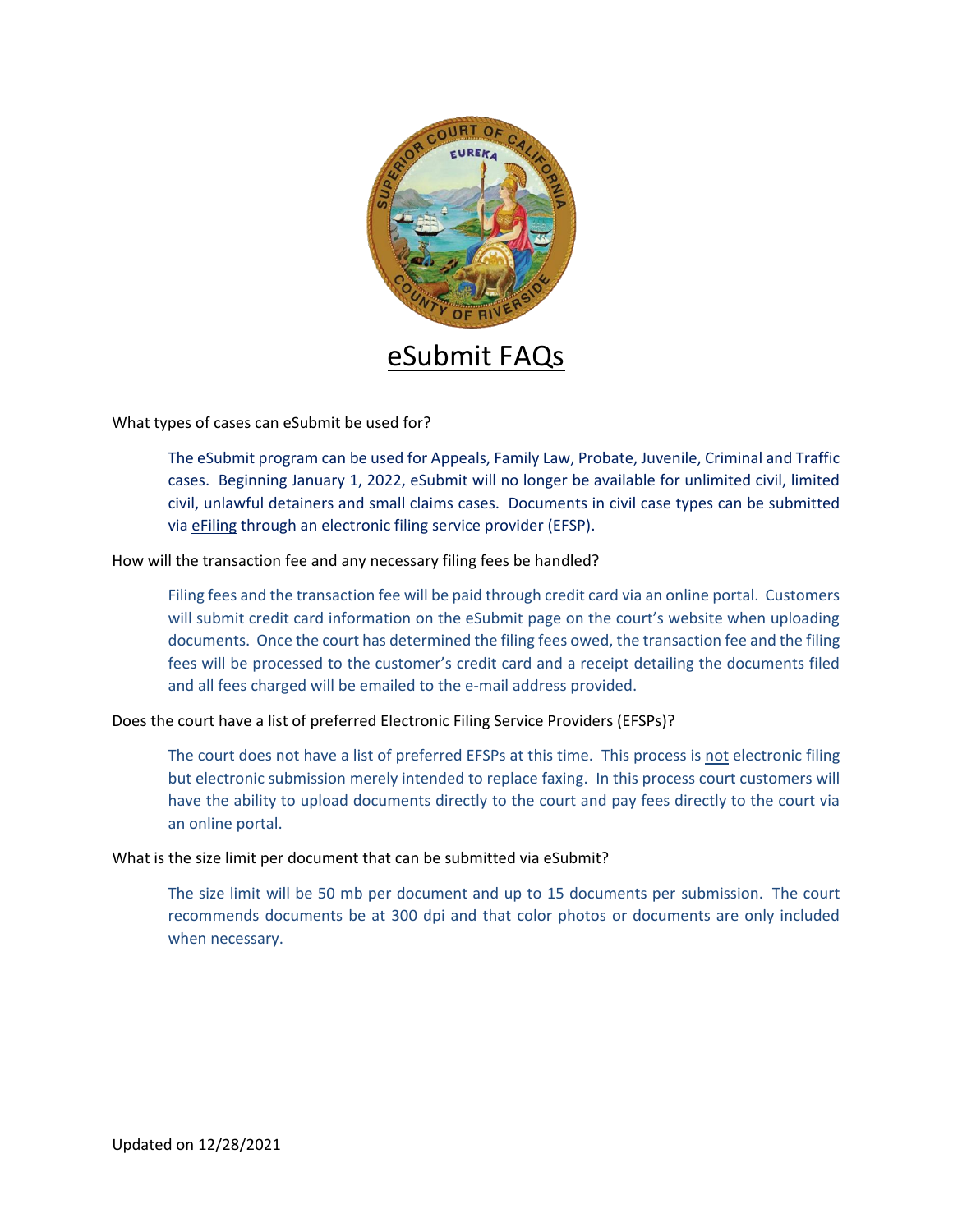

What types of cases can eSubmit be used for?

The eSubmit program can be used for Appeals, Family Law, Probate, Juvenile, Criminal and Traffic cases. Beginning January 1, 2022, eSubmit will no longer be available for unlimited civil, limited civil, unlawful detainers and small claims cases. Documents in civil case types can be submitted via [eFiling](https://riverside.courts.ca.gov/FormsFiling/EFiling/civil-efiling.php) through an electronic filing service provider (EFSP).

How will the transaction fee and any necessary filing fees be handled?

Filing fees and the transaction fee will be paid through credit card via an online portal. Customers will submit credit card information on the eSubmit page on the court's website when uploading documents. Once the court has determined the filing fees owed, the transaction fee and the filing fees will be processed to the customer's credit card and a receipt detailing the documents filed and all fees charged will be emailed to the e-mail address provided.

Does the court have a list of preferred Electronic Filing Service Providers (EFSPs)?

The court does not have a list of preferred EFSPs at this time. This process is not electronic filing but electronic submission merely intended to replace faxing. In this process court customers will have the ability to upload documents directly to the court and pay fees directly to the court via an online portal.

What is the size limit per document that can be submitted via eSubmit?

The size limit will be 50 mb per document and up to 15 documents per submission. The court recommends documents be at 300 dpi and that color photos or documents are only included when necessary.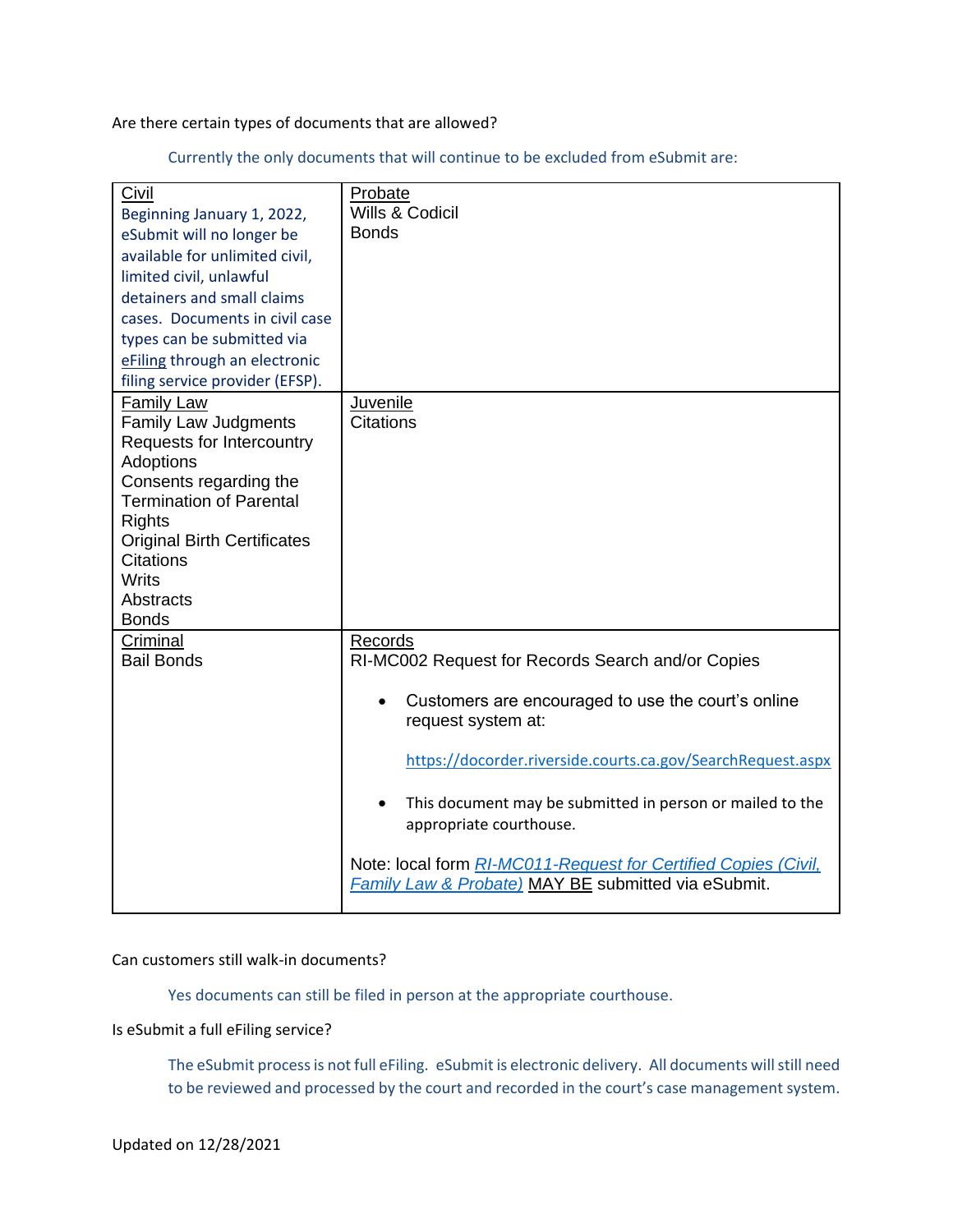Are there certain types of documents that are allowed?

Currently the only documents that will continue to be excluded from eSubmit are:

| Civil                              | Probate                                                        |
|------------------------------------|----------------------------------------------------------------|
| Beginning January 1, 2022,         | Wills & Codicil                                                |
|                                    | <b>Bonds</b>                                                   |
| eSubmit will no longer be          |                                                                |
| available for unlimited civil,     |                                                                |
| limited civil, unlawful            |                                                                |
| detainers and small claims         |                                                                |
| cases. Documents in civil case     |                                                                |
| types can be submitted via         |                                                                |
| eFiling through an electronic      |                                                                |
| filing service provider (EFSP).    |                                                                |
| <b>Family Law</b>                  | Juvenile                                                       |
| <b>Family Law Judgments</b>        | <b>Citations</b>                                               |
| Requests for Intercountry          |                                                                |
| Adoptions                          |                                                                |
| Consents regarding the             |                                                                |
| <b>Termination of Parental</b>     |                                                                |
| <b>Rights</b>                      |                                                                |
| <b>Original Birth Certificates</b> |                                                                |
| <b>Citations</b>                   |                                                                |
| <b>Writs</b>                       |                                                                |
| Abstracts                          |                                                                |
| <b>Bonds</b>                       |                                                                |
| Criminal                           | Records                                                        |
| <b>Bail Bonds</b>                  | RI-MC002 Request for Records Search and/or Copies              |
|                                    | Customers are encouraged to use the court's online             |
|                                    | request system at:                                             |
|                                    |                                                                |
|                                    | https://docorder.riverside.courts.ca.gov/SearchRequest.aspx    |
|                                    | This document may be submitted in person or mailed to the      |
|                                    | appropriate courthouse.                                        |
|                                    |                                                                |
|                                    | Note: local form RI-MC011-Request for Certified Copies (Civil, |
|                                    | <b>Family Law &amp; Probate) MAY BE submitted via eSubmit.</b> |
|                                    |                                                                |

## Can customers still walk-in documents?

Yes documents can still be filed in person at the appropriate courthouse.

## Is eSubmit a full eFiling service?

The eSubmit process is not full eFiling. eSubmit is electronic delivery. All documents will still need to be reviewed and processed by the court and recorded in the court's case management system.